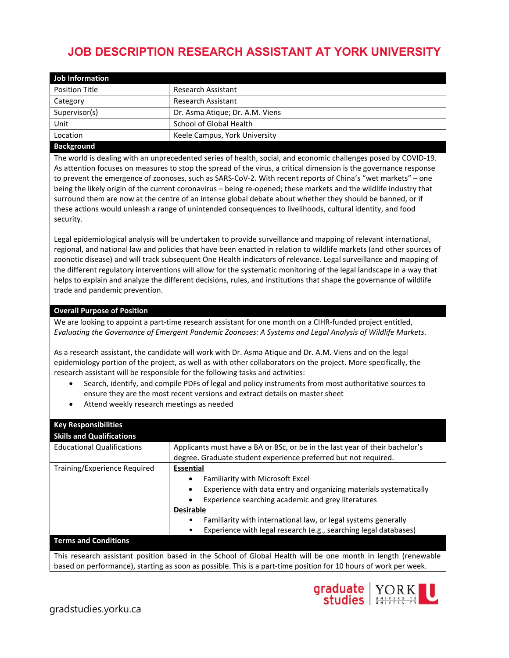## **JOB DESCRIPTION RESEARCH ASSISTANT AT YORK UNIVERSITY**

| <b>Job Information</b> |                                 |
|------------------------|---------------------------------|
| <b>Position Title</b>  | <b>Research Assistant</b>       |
| Category               | <b>Research Assistant</b>       |
| Supervisor(s)          | Dr. Asma Atique; Dr. A.M. Viens |
| Unit                   | School of Global Health         |
| Location               | Keele Campus, York University   |
|                        |                                 |

## **Background**

The world is dealing with an unprecedented series of health, social, and economic challenges posed by COVID-19. As attention focuses on measures to stop the spread of the virus, a critical dimension is the governance response to prevent the emergence of zoonoses, such as SARS-CoV-2. With recent reports of China's "wet markets" – one being the likely origin of the current coronavirus – being re-opened; these markets and the wildlife industry that surround them are now at the centre of an intense global debate about whether they should be banned, or if these actions would unleash a range of unintended consequences to livelihoods, cultural identity, and food security.

Legal epidemiological analysis will be undertaken to provide surveillance and mapping of relevant international, regional, and national law and policies that have been enacted in relation to wildlife markets (and other sources of zoonotic disease) and will track subsequent One Health indicators of relevance. Legal surveillance and mapping of the different regulatory interventions will allow for the systematic monitoring of the legal landscape in a way that helps to explain and analyze the different decisions, rules, and institutions that shape the governance of wildlife trade and pandemic prevention.

## **Overall Purpose of Position**

We are looking to appoint a part-time research assistant for one month on a CIHR-funded project entitled, *Evaluating the Governance of Emergent Pandemic Zoonoses: A Systems and Legal Analysis of Wildlife Markets*.

As a research assistant, the candidate will work with Dr. Asma Atique and Dr. A.M. Viens and on the legal epidemiology portion of the project, as well as with other collaborators on the project. More specifically, the research assistant will be responsible for the following tasks and activities:

- Search, identify, and compile PDFs of legal and policy instruments from most authoritative sources to ensure they are the most recent versions and extract details on master sheet
- Attend weekly research meetings as needed

| <b>Key Responsibilities</b>                                                                                      |                                                                              |
|------------------------------------------------------------------------------------------------------------------|------------------------------------------------------------------------------|
| <b>Skills and Qualifications</b>                                                                                 |                                                                              |
| <b>Educational Qualifications</b>                                                                                | Applicants must have a BA or BSc, or be in the last year of their bachelor's |
|                                                                                                                  | degree. Graduate student experience preferred but not required.              |
| Training/Experience Required                                                                                     | <b>Essential</b>                                                             |
|                                                                                                                  | Familiarity with Microsoft Excel<br>$\bullet$                                |
|                                                                                                                  | Experience with data entry and organizing materials systematically           |
|                                                                                                                  | Experience searching academic and grey literatures                           |
|                                                                                                                  | <b>Desirable</b>                                                             |
|                                                                                                                  | Familiarity with international law, or legal systems generally               |
|                                                                                                                  | Experience with legal research (e.g., searching legal databases)             |
| <b>Terms and Conditions</b>                                                                                      |                                                                              |
| This research assistant position based in the School of Global Health will be one month in length (renewable     |                                                                              |
| based on performance), starting as soon as possible. This is a part-time position for 10 hours of work per week. |                                                                              |